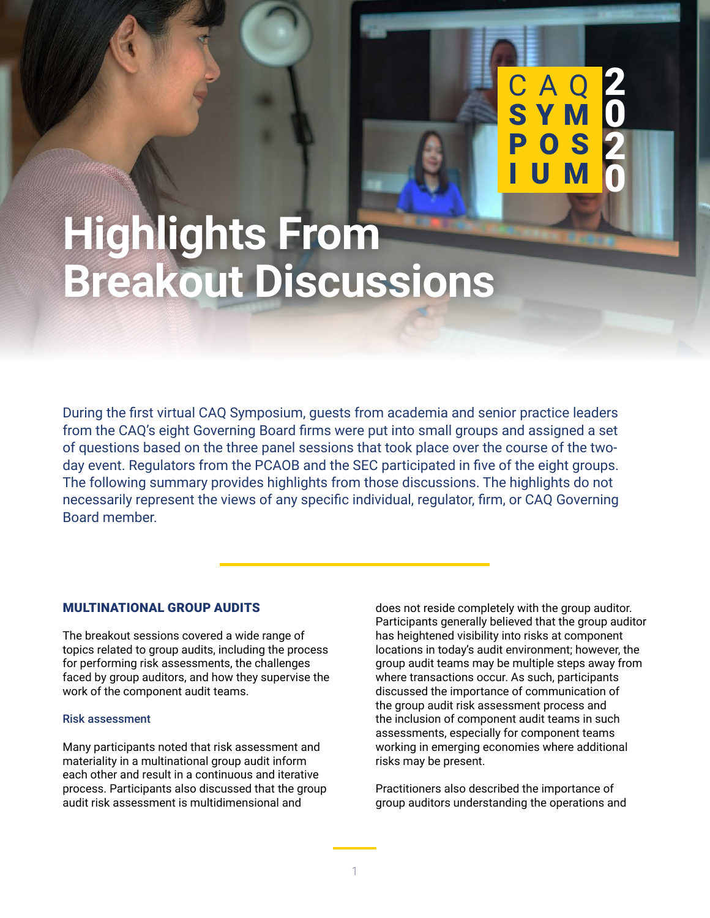# **Highlights From Breakout Discussions**

During the first virtual CAQ Symposium, guests from academia and senior practice leaders from the CAQ's eight Governing Board firms were put into small groups and assigned a set of questions based on the three panel sessions that took place over the course of the twoday event. Regulators from the PCAOB and the SEC participated in five of the eight groups. The following summary provides highlights from those discussions. The highlights do not necessarily represent the views of any specific individual, regulator, firm, or CAQ Governing Board member.

CAQ SYMPOSIUM 2020: HIGHLIGHTS FROM BREAKOUT DISCUSSIONS FROM BREAKOUT DISCUSSIONS FROM BREAKOUT DISCUSSIONS F

## MULTINATIONAL GROUP AUDITS

The breakout sessions covered a wide range of topics related to group audits, including the process for performing risk assessments, the challenges faced by group auditors, and how they supervise the work of the component audit teams.

#### Risk assessment

Many participants noted that risk assessment and materiality in a multinational group audit inform each other and result in a continuous and iterative process. Participants also discussed that the group audit risk assessment is multidimensional and

does not reside completely with the group auditor. Participants generally believed that the group auditor has heightened visibility into risks at component locations in today's audit environment; however, the group audit teams may be multiple steps away from where transactions occur. As such, participants discussed the importance of communication of the group audit risk assessment process and the inclusion of component audit teams in such assessments, especially for component teams working in emerging economies where additional risks may be present.

C A Q **SYM**  2

 $\overline{\mathbf{0}}$ 

2

0

POS

I U M

Practitioners also described the importance of group auditors understanding the operations and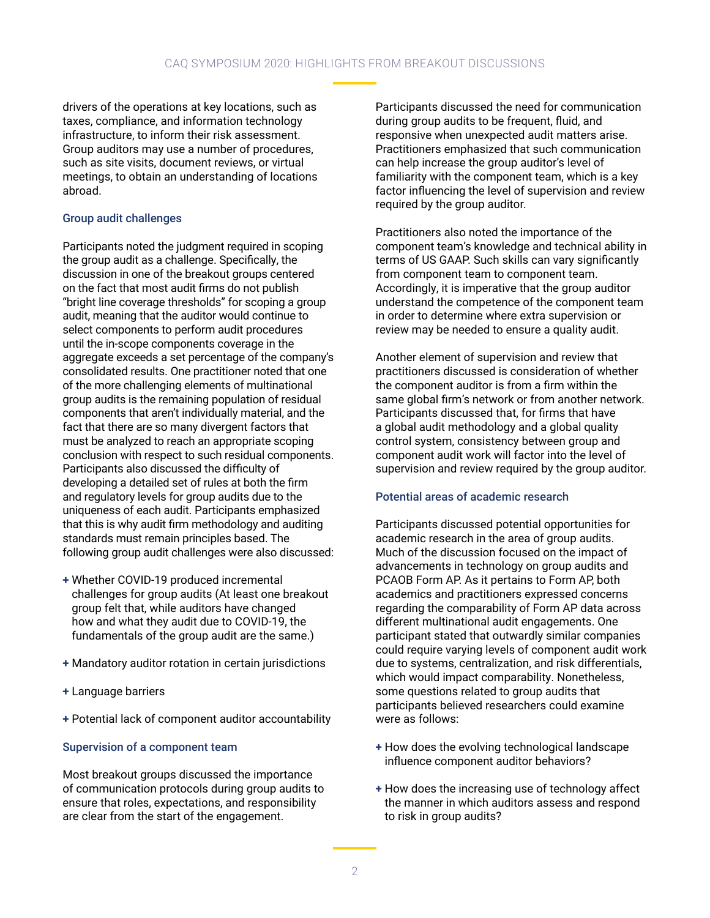drivers of the operations at key locations, such as taxes, compliance, and information technology infrastructure, to inform their risk assessment. Group auditors may use a number of procedures, such as site visits, document reviews, or virtual meetings, to obtain an understanding of locations abroad.

### Group audit challenges

Participants noted the judgment required in scoping the group audit as a challenge. Specifically, the discussion in one of the breakout groups centered on the fact that most audit firms do not publish "bright line coverage thresholds" for scoping a group audit, meaning that the auditor would continue to select components to perform audit procedures until the in-scope components coverage in the aggregate exceeds a set percentage of the company's consolidated results. One practitioner noted that one of the more challenging elements of multinational group audits is the remaining population of residual components that aren't individually material, and the fact that there are so many divergent factors that must be analyzed to reach an appropriate scoping conclusion with respect to such residual components. Participants also discussed the difficulty of developing a detailed set of rules at both the firm and regulatory levels for group audits due to the uniqueness of each audit. Participants emphasized that this is why audit firm methodology and auditing standards must remain principles based. The following group audit challenges were also discussed:

- **+** Whether COVID-19 produced incremental challenges for group audits (At least one breakout group felt that, while auditors have changed how and what they audit due to COVID-19, the fundamentals of the group audit are the same.)
- **+** Mandatory auditor rotation in certain jurisdictions
- **+** Language barriers
- **+** Potential lack of component auditor accountability

#### Supervision of a component team

Most breakout groups discussed the importance of communication protocols during group audits to ensure that roles, expectations, and responsibility are clear from the start of the engagement.

Participants discussed the need for communication during group audits to be frequent, fluid, and responsive when unexpected audit matters arise. Practitioners emphasized that such communication can help increase the group auditor's level of familiarity with the component team, which is a key factor influencing the level of supervision and review required by the group auditor.

Practitioners also noted the importance of the component team's knowledge and technical ability in terms of US GAAP. Such skills can vary significantly from component team to component team. Accordingly, it is imperative that the group auditor understand the competence of the component team in order to determine where extra supervision or review may be needed to ensure a quality audit.

Another element of supervision and review that practitioners discussed is consideration of whether the component auditor is from a firm within the same global firm's network or from another network. Participants discussed that, for firms that have a global audit methodology and a global quality control system, consistency between group and component audit work will factor into the level of supervision and review required by the group auditor.

#### Potential areas of academic research

Participants discussed potential opportunities for academic research in the area of group audits. Much of the discussion focused on the impact of advancements in technology on group audits and PCAOB Form AP. As it pertains to Form AP, both academics and practitioners expressed concerns regarding the comparability of Form AP data across different multinational audit engagements. One participant stated that outwardly similar companies could require varying levels of component audit work due to systems, centralization, and risk differentials, which would impact comparability. Nonetheless, some questions related to group audits that participants believed researchers could examine were as follows:

- **+** How does the evolving technological landscape influence component auditor behaviors?
- **+** How does the increasing use of technology affect the manner in which auditors assess and respond to risk in group audits?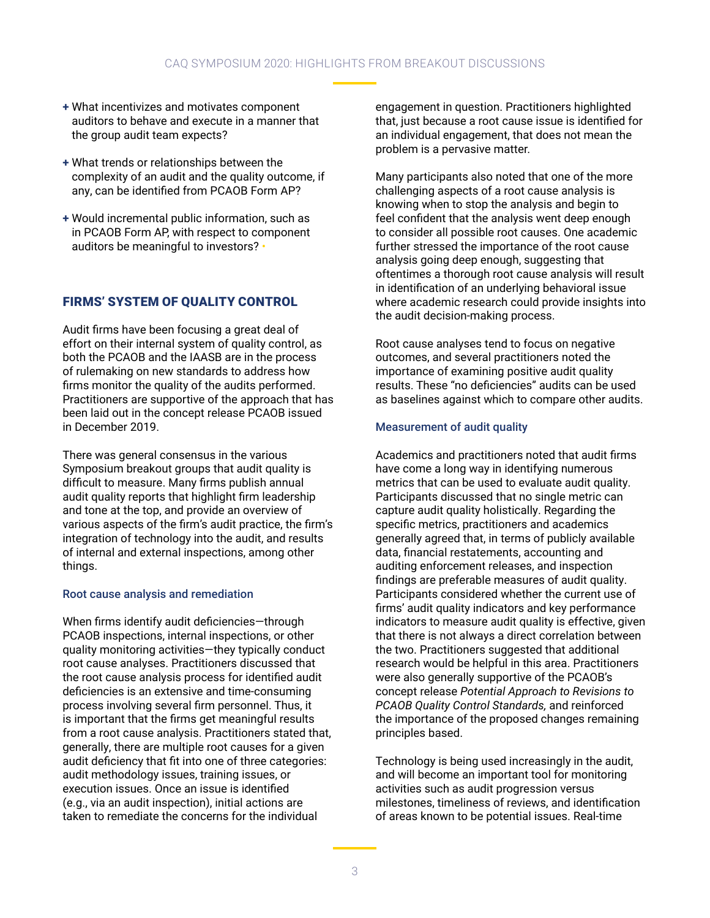## CAQ SYMPOSIUM 2020: HIGHLIGHTS FROM BREAKOUT DISCUSSIONS

- **+** What incentivizes and motivates component auditors to behave and execute in a manner that the group audit team expects?
- **+** What trends or relationships between the complexity of an audit and the quality outcome, if any, can be identified from PCAOB Form AP?
- **+** Would incremental public information, such as in PCAOB Form AP, with respect to component auditors be meaningful to investors? •

# FIRMS' SYSTEM OF QUALITY CONTROL

Audit firms have been focusing a great deal of effort on their internal system of quality control, as both the PCAOB and the IAASB are in the process of rulemaking on new standards to address how firms monitor the quality of the audits performed. Practitioners are supportive of the approach that has been laid out in the concept release PCAOB issued in December 2019.

There was general consensus in the various Symposium breakout groups that audit quality is difficult to measure. Many firms publish annual audit quality reports that highlight firm leadership and tone at the top, and provide an overview of various aspects of the firm's audit practice, the firm's integration of technology into the audit, and results of internal and external inspections, among other things.

#### Root cause analysis and remediation

When firms identify audit deficiencies—through PCAOB inspections, internal inspections, or other quality monitoring activities—they typically conduct root cause analyses. Practitioners discussed that the root cause analysis process for identified audit deficiencies is an extensive and time-consuming process involving several firm personnel. Thus, it is important that the firms get meaningful results from a root cause analysis. Practitioners stated that, generally, there are multiple root causes for a given audit deficiency that fit into one of three categories: audit methodology issues, training issues, or execution issues. Once an issue is identified (e.g., via an audit inspection), initial actions are taken to remediate the concerns for the individual

engagement in question. Practitioners highlighted that, just because a root cause issue is identified for an individual engagement, that does not mean the problem is a pervasive matter.

Many participants also noted that one of the more challenging aspects of a root cause analysis is knowing when to stop the analysis and begin to feel confident that the analysis went deep enough to consider all possible root causes. One academic further stressed the importance of the root cause analysis going deep enough, suggesting that oftentimes a thorough root cause analysis will result in identification of an underlying behavioral issue where academic research could provide insights into the audit decision-making process.

Root cause analyses tend to focus on negative outcomes, and several practitioners noted the importance of examining positive audit quality results. These "no deficiencies" audits can be used as baselines against which to compare other audits.

#### Measurement of audit quality

Academics and practitioners noted that audit firms have come a long way in identifying numerous metrics that can be used to evaluate audit quality. Participants discussed that no single metric can capture audit quality holistically. Regarding the specific metrics, practitioners and academics generally agreed that, in terms of publicly available data, financial restatements, accounting and auditing enforcement releases, and inspection findings are preferable measures of audit quality. Participants considered whether the current use of firms' audit quality indicators and key performance indicators to measure audit quality is effective, given that there is not always a direct correlation between the two. Practitioners suggested that additional research would be helpful in this area. Practitioners were also generally supportive of the PCAOB's concept release *Potential Approach to Revisions to PCAOB Quality Control Standards,* and reinforced the importance of the proposed changes remaining principles based.

Technology is being used increasingly in the audit, and will become an important tool for monitoring activities such as audit progression versus milestones, timeliness of reviews, and identification of areas known to be potential issues. Real-time